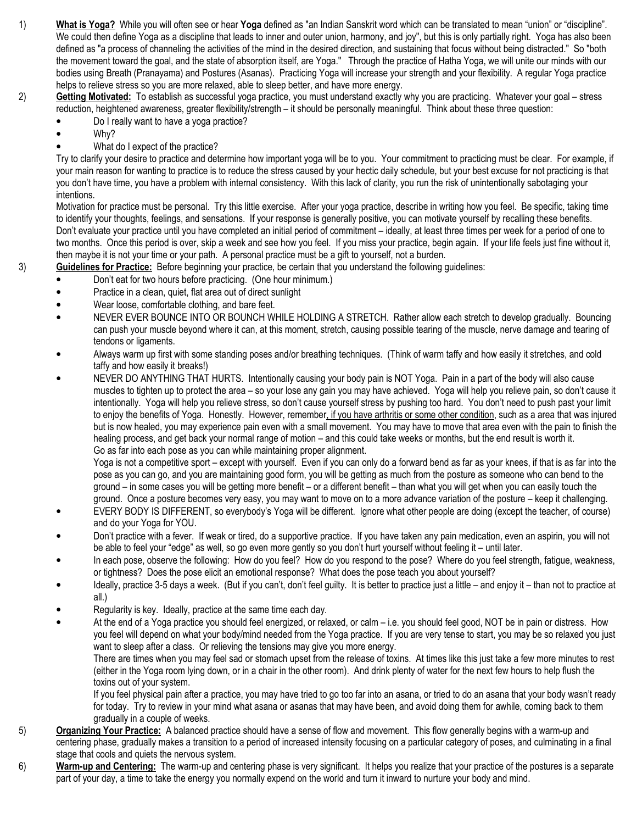- 1) What is Yoga? While you will often see or hear Yoga defined as "an Indian Sanskrit word which can be translated to mean "union" or "discipline". We could then define Yoga as a discipline that leads to inner and outer union, harmony, and joy", but this is only partially right. Yoga has also been defined as "a process of channeling the activities of the mind in the desired direction, and sustaining that focus without being distracted." So "both the movement toward the goal, and the state of absorption itself, are Yoga." Through the practice of Hatha Yoga, we will unite our minds with our bodies using Breath (Pranayama) and Postures (Asanas). Practicing Yoga will increase your strength and your flexibility. A regular Yoga practice helps to relieve stress so you are more relaxed, able to sleep better, and have more energy.
- 2) Getting Motivated: To establish as successful yoga practice, you must understand exactly why you are practicing. Whatever your goal stress reduction, heightened awareness, greater flexibility/strength – it should be personally meaningful. Think about these three question:
	- Do I really want to have a yoga practice?
	- Why?
	- What do I expect of the practice?

Try to clarify your desire to practice and determine how important yoga will be to you. Your commitment to practicing must be clear. For example, if your main reason for wanting to practice is to reduce the stress caused by your hectic daily schedule, but your best excuse for not practicing is that you don't have time, you have a problem with internal consistency. With this lack of clarity, you run the risk of unintentionally sabotaging your intentions.

Motivation for practice must be personal. Try this little exercise. After your yoga practice, describe in writing how you feel. Be specific, taking time to identify your thoughts, feelings, and sensations. If your response is generally positive, you can motivate yourself by recalling these benefits. Don't evaluate your practice until you have completed an initial period of commitment – ideally, at least three times per week for a period of one to two months. Once this period is over, skip a week and see how you feel. If you miss your practice, begin again. If your life feels just fine without it, then maybe it is not your time or your path. A personal practice must be a gift to yourself, not a burden.

- 3) Guidelines for Practice: Before beginning your practice, be certain that you understand the following guidelines:
	- Don't eat for two hours before practicing. (One hour minimum.)
	- Practice in a clean, quiet, flat area out of direct sunlight
	- Wear loose, comfortable clothing, and bare feet.
	- NEVER EVER BOUNCE INTO OR BOUNCH WHILE HOLDING A STRETCH. Rather allow each stretch to develop gradually. Bouncing can push your muscle beyond where it can, at this moment, stretch, causing possible tearing of the muscle, nerve damage and tearing of tendons or ligaments.
	- Always warm up first with some standing poses and/or breathing techniques. (Think of warm taffy and how easily it stretches, and cold taffy and how easily it breaks!)
	- NEVER DO ANYTHING THAT HURTS. Intentionally causing your body pain is NOT Yoga. Pain in a part of the body will also cause muscles to tighten up to protect the area – so your lose any gain you may have achieved. Yoga will help you relieve pain, so don't cause it intentionally. Yoga will help you relieve stress, so don't cause yourself stress by pushing too hard. You don't need to push past your limit to enjoy the benefits of Yoga. Honestly. However, remember, if you have arthritis or some other condition, such as a area that was injured but is now healed, you may experience pain even with a small movement. You may have to move that area even with the pain to finish the healing process, and get back your normal range of motion – and this could take weeks or months, but the end result is worth it. Go as far into each pose as you can while maintaining proper alignment.

Yoga is not a competitive sport – except with yourself. Even if you can only do a forward bend as far as your knees, if that is as far into the pose as you can go, and you are maintaining good form, you will be getting as much from the posture as someone who can bend to the ground – in some cases you will be getting more benefit – or a different benefit – than what you will get when you can easily touch the ground. Once a posture becomes very easy, you may want to move on to a more advance variation of the posture – keep it challenging.

- EVERY BODY IS DIFFERENT, so everybody's Yoga will be different. Ignore what other people are doing (except the teacher, of course) and do your Yoga for YOU.
- Don't practice with a fever. If weak or tired, do a supportive practice. If you have taken any pain medication, even an aspirin, you will not be able to feel your "edge" as well, so go even more gently so you don't hurt yourself without feeling it – until later.
- In each pose, observe the following: How do you feel? How do you respond to the pose? Where do you feel strength, fatigue, weakness, or tightness? Does the pose elicit an emotional response? What does the pose teach you about yourself?
- Ideally, practice 3-5 days a week. (But if you can't, don't feel guilty. It is better to practice just a little and enjoy it than not to practice at all.)
- Regularity is key. Ideally, practice at the same time each day.
- At the end of a Yoga practice you should feel energized, or relaxed, or calm i.e. you should feel good, NOT be in pain or distress. How you feel will depend on what your body/mind needed from the Yoga practice. If you are very tense to start, you may be so relaxed you just want to sleep after a class. Or relieving the tensions may give you more energy.

There are times when you may feel sad or stomach upset from the release of toxins. At times like this just take a few more minutes to rest (either in the Yoga room lying down, or in a chair in the other room). And drink plenty of water for the next few hours to help flush the toxins out of your system.

If you feel physical pain after a practice, you may have tried to go too far into an asana, or tried to do an asana that your body wasn't ready for today. Try to review in your mind what asana or asanas that may have been, and avoid doing them for awhile, coming back to them gradually in a couple of weeks.

- 5) Organizing Your Practice: A balanced practice should have a sense of flow and movement. This flow generally begins with a warm-up and centering phase, gradually makes a transition to a period of increased intensity focusing on a particular category of poses, and culminating in a final stage that cools and quiets the nervous system.
- 6) Warm-up and Centering: The warm-up and centering phase is very significant. It helps you realize that your practice of the postures is a separate part of your day, a time to take the energy you normally expend on the world and turn it inward to nurture your body and mind.